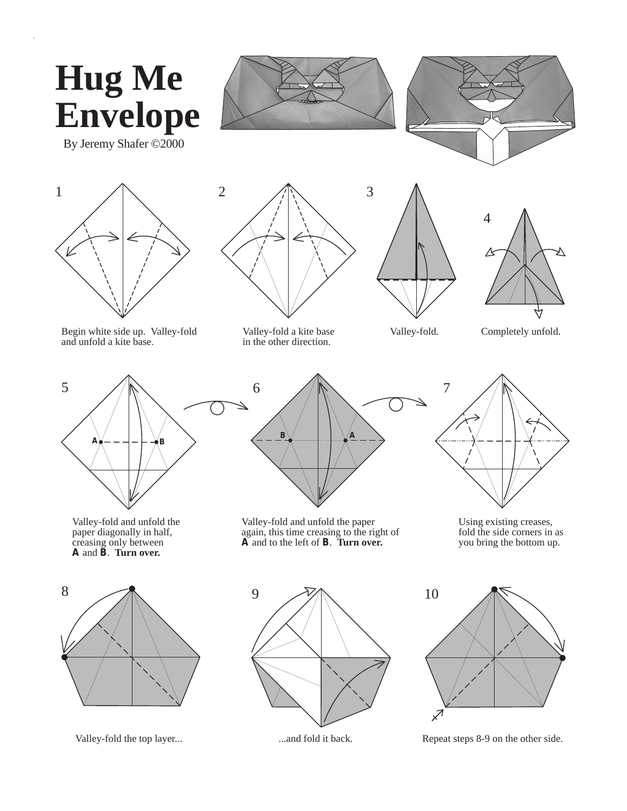

Valley-fold the top layer... ...and fold it back. Repeat steps 8-9 on the other side.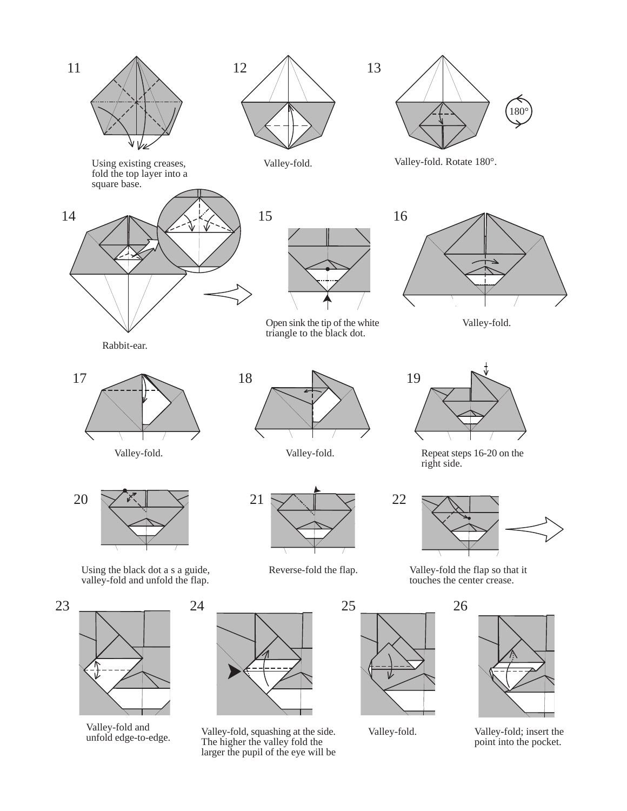

valley-fold and<br>unfold edge-to-edge. The higher the valley fold the larger the pupil of the eye will be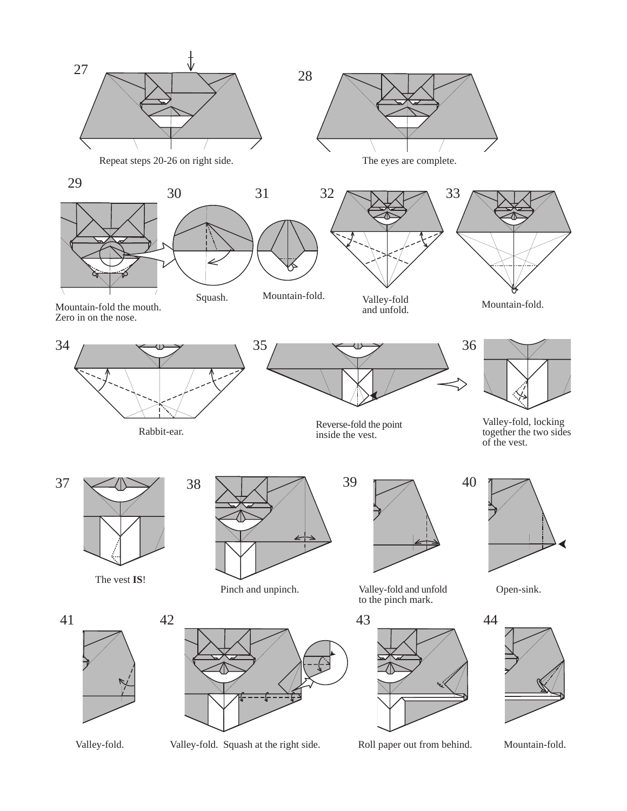